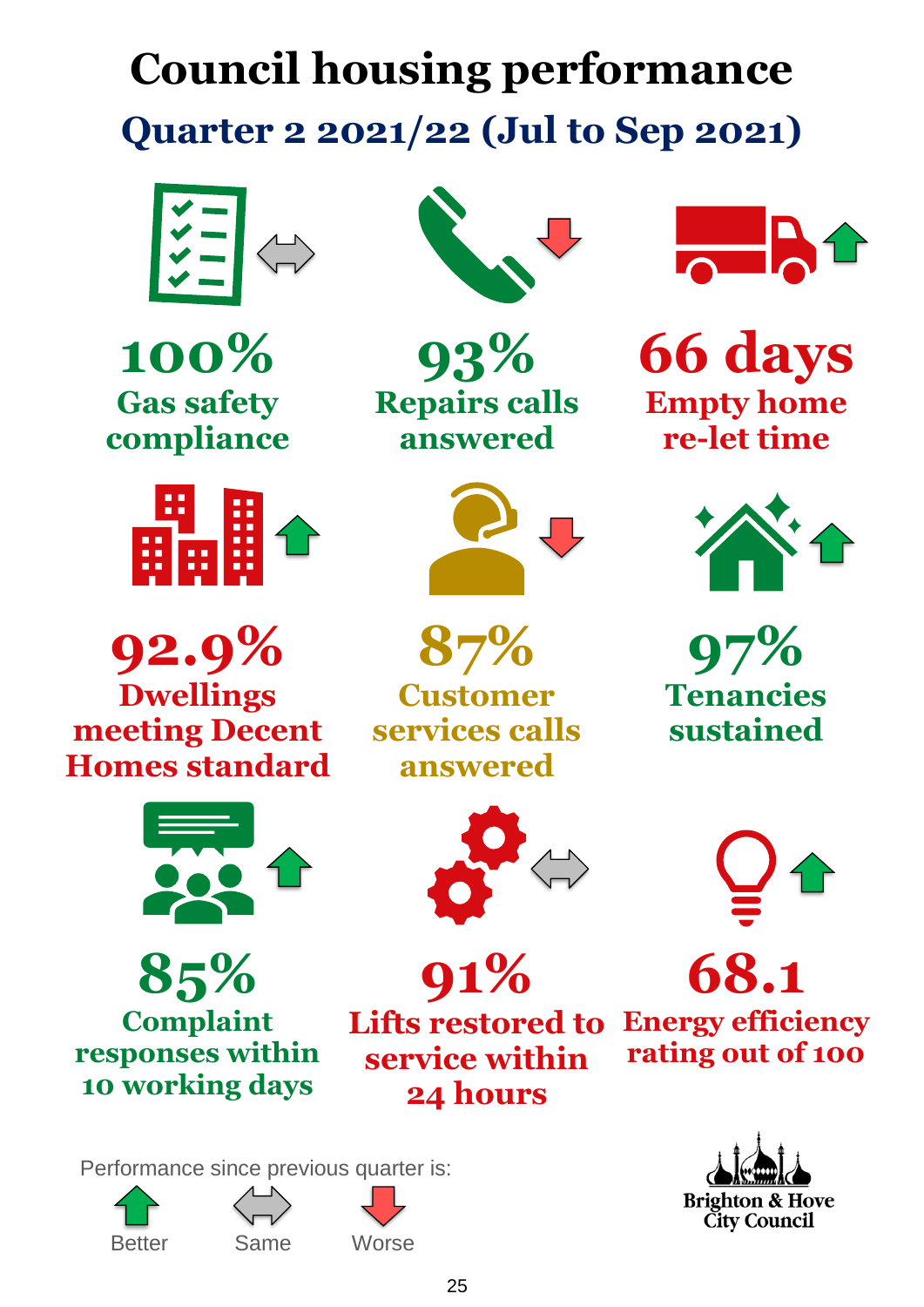# **Council housing performance Quarter 2 2021/22 (Jul to Sep 2021)**



**100% Gas safety compliance**



**92.9% Dwellings meeting Decent Homes standard**



**85% Complaint responses within 10 working days**











**93% Repairs calls answered**



**87% Customer services calls answered**





**Lifts restored to service within 24 hours**



**66 days Empty home re-let time**



**97% Tenancies sustained**



**Energy efficiency rating out of 100**

**68.1**